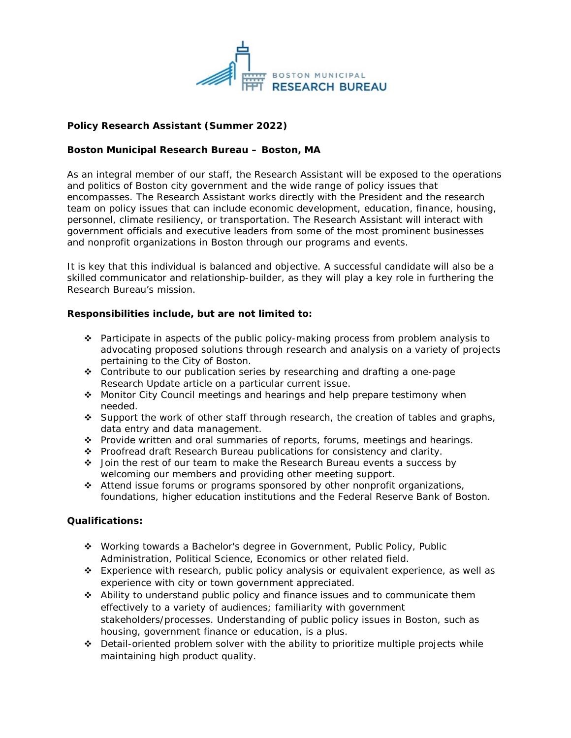

# **Policy Research Assistant (Summer 2022)**

## **Boston Municipal Research Bureau – Boston, MA**

As an integral member of our staff, the Research Assistant will be exposed to the operations and politics of Boston city government and the wide range of policy issues that encompasses. The Research Assistant works directly with the President and the research team on policy issues that can include economic development, education, finance, housing, personnel, climate resiliency, or transportation. The Research Assistant will interact with government officials and executive leaders from some of the most prominent businesses and nonprofit organizations in Boston through our programs and events.

It is key that this individual is balanced and objective. A successful candidate will also be a skilled communicator and relationship-builder, as they will play a key role in furthering the Research Bureau's mission.

### **Responsibilities include, but are not limited to:**

- \* Participate in aspects of the public policy-making process from problem analysis to advocating proposed solutions through research and analysis on a variety of projects pertaining to the City of Boston.
- Contribute to our publication series by researching and drafting a one-page Research Update article on a particular current issue.
- Monitor City Council meetings and hearings and help prepare testimony when needed.
- Support the work of other staff through research, the creation of tables and graphs, data entry and data management.
- \* Provide written and oral summaries of reports, forums, meetings and hearings.
- Proofread draft Research Bureau publications for consistency and clarity.
- Join the rest of our team to make the Research Bureau events a success by welcoming our members and providing other meeting support.
- Attend issue forums or programs sponsored by other nonprofit organizations, foundations, higher education institutions and the Federal Reserve Bank of Boston.

#### **Qualifications:**

- Working towards a Bachelor's degree in Government, Public Policy, Public Administration, Political Science, Economics or other related field.
- Experience with research, public policy analysis or equivalent experience, as well as experience with city or town government appreciated.
- Ability to understand public policy and finance issues and to communicate them effectively to a variety of audiences; familiarity with government stakeholders/processes. Understanding of public policy issues in Boston, such as housing, government finance or education, is a plus.
- ◆ Detail-oriented problem solver with the ability to prioritize multiple projects while maintaining high product quality.